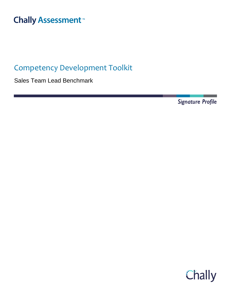# **Chally Assessment**<sup>™</sup>

## Competency Development Toolkit

Sales Team Lead Benchmark

Signature Profile

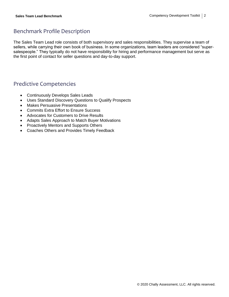### Benchmark Profile Description

The Sales Team Lead role consists of both supervisory and sales responsibilities. They supervise a team of sellers, while carrying their own book of business. In some organizations, team leaders are considered "supersalespeople." They typically do not have responsibility for hiring and performance management but serve as the first point of contact for seller questions and day-to-day support.

### Predictive Competencies

- Continuously Develops Sales Leads
- Uses Standard Discovery Questions to Qualify Prospects
- Makes Persuasive Presentations
- Commits Extra Effort to Ensure Success
- Advocates for Customers to Drive Results
- Adapts Sales Approach to Match Buyer Motivations
- Proactively Mentors and Supports Others
- Coaches Others and Provides Timely Feedback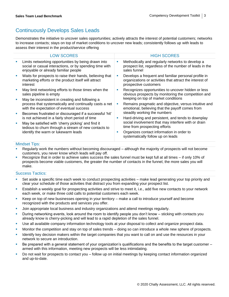### Continuously Develops Sales Leads

Demonstrates the initiative to uncover sales opportunities; actively attracts the interest of potential customers; networks to increase contacts; stays on top of market conditions to uncover new leads; consistently follows up with leads to assess their interest in the product/service offering

|          | <b>LOW SCORES</b>                                                                                                                                      |    | <b>HIGH SCORES</b>                                                                                                                              |
|----------|--------------------------------------------------------------------------------------------------------------------------------------------------------|----|-------------------------------------------------------------------------------------------------------------------------------------------------|
| ×        | Limits networking opportunities by being drawn into<br>social or casual interactions, or by spending time with<br>enjoyable or already familiar people |    | Methodically and regularly networks to develop a<br>prospect list, regardless of the number of leads in the<br>sales funnel                     |
| <b>I</b> | Waits for prospects to raise their hands, believing that<br>marketing efforts or the product itself will attract<br>interest                           | ×  | Develops a frequent and familiar personal profile in<br>organizations or activities that attract the interest of<br>prospective customers       |
| ×        | May limit networking efforts to those times when the<br>sales pipeline is empty                                                                        | a. | Recognizes opportunities to uncover hidden or less<br>obvious prospects by monitoring the competition and                                       |
| ×        | May be inconsistent in creating and following a<br>process that systematically and continually casts a net<br>with the expectation of eventual success | ×  | keeping on top of market conditions<br>Remains pragmatic and objective, versus intuitive and<br>emotional, believing that the payoff comes from |
| ×        | Becomes frustrated or discouraged if a successful 'hit'<br>is not achieved in a fairly short period of time                                            | п  | steadily working the numbers<br>Hard-driving and persistent, and tends to downplay                                                              |
| ×        | May be satisfied with 'cherry picking' and find it<br>tedious to churn through a stream of new contacts to<br>identify the warm or lukewarm leads      |    | social involvement that may interfere with or drain<br>time from prospecting efforts                                                            |
|          |                                                                                                                                                        |    | Organizes contact information in order to<br>systematically follow up on leads                                                                  |

#### Mindset Tips:

- Regularly work the numbers without becoming discouraged although the majority of prospects will not become customers, you never know which leads will pay off.
- Recognize that in order to achieve sales success the sales funnel must be kept full at all times if only 10% of prospects become viable customers, the greater the number of contacts in the funnel, the more sales you will make.

- Set aside a specific time each week to conduct prospecting activities make lead generating your top priority and clear your schedule of those activities that distract you from expanding your prospect list.
- Establish a weekly goal for prospecting activities and strive to meet it, i.e., add five new contacts to your network each week, or make three cold calls to potential customers each week.
- Keep on top of new businesses opening in your territory make a call to introduce yourself and become recognized with the products and services you offer.
- **•** Join appropriate local business and industry organizations and attend meetings regularly.
- **•** During networking events, look around the room to identify people you don't know sticking with contacts you already know is cherry-picking and will lead to a rapid depletion of the sales funnel.
- Use all available company information technology tools at your disposal to collect and organize prospect data.
- Monitor the competition and stay on top of sales trends doing so can introduce a whole new sphere of prospects.
- Identify key decision makers within the target companies that you want to call on and use the resources in your network to secure an introduction.
- Be prepared with a general statement of your organization's qualifications and the benefits to the target customer armed with this information, meeting new prospects will be less intimidating.
- Do not wait for prospects to contact you follow up on initial meetings by keeping contact information organized and up-to-date.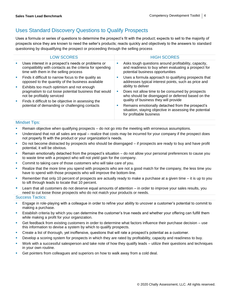### Uses Standard Discovery Questions to Qualify Prospects

Uses a formula or series of questions to determine the prospect's fit with the product; expects to sell to the majority of prospects since they are known to need the seller's products; reacts quickly and objectively to the answers to standard questioning by disqualifying the prospect or proceeding through the selling process

|        | <b>LOW SCORES</b>                                                                                                                                       |         | <b>HIGH SCORES</b>                                                                                                                                                              |                                                                                                      |
|--------|---------------------------------------------------------------------------------------------------------------------------------------------------------|---------|---------------------------------------------------------------------------------------------------------------------------------------------------------------------------------|------------------------------------------------------------------------------------------------------|
| ш      | Uses interest in a prospect's needs or problems or<br>compatibility with contacts as the criteria for spending<br>time with them in the selling process | ш       | Asks tough questions around profitability, capacity,<br>and readiness to buy when evaluating a prospect for<br>potential business opportunities                                 |                                                                                                      |
| ×<br>ш | Finds it difficult to narrow focus to the quality as<br>opposed to the quantity of the business available                                               | M.      | Uses a formula approach to qualifying prospects that<br>addresses typical interest points, such as price and<br>ability to deliver                                              |                                                                                                      |
|        | Exhibits too much optimism and not enough<br>pragmatism to cut loose potential business that would<br>not be profitably serviced                        | ш<br>a. |                                                                                                                                                                                 | Does not allow time to be consumed by prospects<br>who should be disengaged or deferred based on the |
| u,     | Finds it difficult to be objective in assessing the<br>potential of demanding or challenging contacts                                                   |         | quality of business they will provide<br>Remains emotionally detached from the prospect's<br>situation, staying objective in assessing the potential<br>for profitable business |                                                                                                      |

#### Mindset Tips:

- Remain objective when qualifying prospects  $-$  do not go into the meeting with erroneous assumptions.
- Understand that not all sales are equal realize that costs may be incurred for your company if the prospect does not properly fit with the product or your organization's needs.
- Do not become distracted by prospects who should be disengaged if prospects are ready to buy and have profit potential, it will be obvious.
- Remain emotionally detached from the prospect's situation do not allow your personal preferences to cause you to waste time with a prospect who will not yield gain for the company.
- Commit to taking care of those customers who will take care of you.
- Realize that the more time you spend with prospects who are not a good match for the company, the less time you have to spend with those prospects who will improve the bottom-line.
- Remember that only 10 percent of prospects are actually ready to make a purchase at a given time it is up to you to sift through leads to locate that 10 percent.
- Learn that all customers do not deserve equal amounts of attention in order to improve your sales results, you need to cut loose those prospects who do not match your products or needs.

- Engage in role-playing with a colleague in order to refine your ability to uncover a customer's potential to commit to making a purchase.
- Establish criteria by which you can determine the customer's true needs and whether your offering can fulfill them while making a profit for your organization.
- Get feedback from existing customers in order to determine what factors influence their purchase decision use this information to devise a system by which to qualify prospects.
- Create a list of thorough, yet inoffensive, questions that will rate a prospect's potential as a customer.
- **•** Develop a scoring system for prospects in which they are rated by profitability, capacity and readiness to buy.
- Work with a successful salesperson and take note of how they qualify leads utilize their questions and techniques in your own routine.
- Get pointers from colleagues and superiors on how to walk away from a cold deal.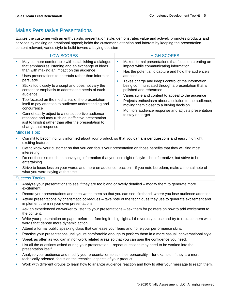### Makes Persuasive Presentations

Excites the customer with an enthusiastic presentation style; demonstrates value and actively promotes products and services by making an emotional appeal; holds the customer's attention and interest by keeping the presentation content relevant; varies style to build toward a buying decision

|                       | <b>LOW SCORES</b>                                                                                                                                                                                                                                                                                                                                                                                                                                                                                                                                                                                                                                                             |        | <b>HIGH SCORES</b>                                                                                                                                                                                                                                                                                                                                                                                                                                                                                                                            |  |
|-----------------------|-------------------------------------------------------------------------------------------------------------------------------------------------------------------------------------------------------------------------------------------------------------------------------------------------------------------------------------------------------------------------------------------------------------------------------------------------------------------------------------------------------------------------------------------------------------------------------------------------------------------------------------------------------------------------------|--------|-----------------------------------------------------------------------------------------------------------------------------------------------------------------------------------------------------------------------------------------------------------------------------------------------------------------------------------------------------------------------------------------------------------------------------------------------------------------------------------------------------------------------------------------------|--|
| ×<br>×<br>×<br>×<br>× | May be more comfortable with establishing a dialogue<br>that emphasizes listening and an exchange of ideas<br>than with making an impact on the audience<br>Uses presentations to entertain rather than inform or<br>persuade<br>Sticks too closely to a script and does not vary the<br>content or emphasis to address the needs of each<br>audience<br>Too focused on the mechanics of the presentation<br>itself to pay attention to audience understanding and<br>concurrence<br>Cannot easily adjust to a nonsupportive audience<br>response and may rush an ineffective presentation<br>just to finish it rather than alter the presentation to<br>change that response | ш<br>п | Makes formal presentations that focus on creating an<br>impact while communicating information<br>Has the potential to capture and hold the audience's<br>attention<br>Takes charge and keeps control of the information<br>being communicated through a presentation that is<br>polished and rehearsed<br>Varies style and content to appeal to the audience<br>Projects enthusiasm about a solution to the audience,<br>moving them closer to a buying decision<br>Monitors audience response and adjusts presentation<br>to stay on target |  |
|                       | <b>Mindset Tips:</b>                                                                                                                                                                                                                                                                                                                                                                                                                                                                                                                                                                                                                                                          |        |                                                                                                                                                                                                                                                                                                                                                                                                                                                                                                                                               |  |

- Commit to becoming fully informed about your product, so that you can answer questions and easily highlight exciting features.
- Get to know your customer so that you can focus your presentation on those benefits that they will find most interesting.
- Do not focus so much on conveying information that you lose sight of style be informative, but strive to be entertaining.
- Strive to focus less on your words and more on audience reaction if you note boredom, make a mental note of what you were saying at the time.

- Analyze your presentations to see if they are too bland or overly detailed modify them to generate more excitement.
- Record your presentations and then watch them so that you can see, firsthand, where you lose audience attention.
- Attend presentations by charismatic colleagues take note of the techniques they use to generate excitement and implement them in your own presentations.
- Ask an experienced co-worker to listen to your presentations ask them for pointers on how to add excitement to the content.
- Write your presentation on paper before performing it highlight all the verbs you use and try to replace them with words that denote more dynamic action.
- **EXECT** Attend a formal public speaking class that can ease your fears and hone your performance skills.
- Practice your presentations until you're comfortable enough to perform them in a more casual, conversational style.
- **•** Speak as often as you can in non-work related areas so that you can gain the confidence you need.
- **EXECT ASSED** List all the questions asked during your presentation repeat questions may need to be worked into the presentation itself.
- Analyze your audience and modify your presentation to suit their personality for example, if they are more technically oriented, focus on the technical aspects of your product.
- Work with different groups to learn how to analyze audience reaction and how to alter your message to reach them.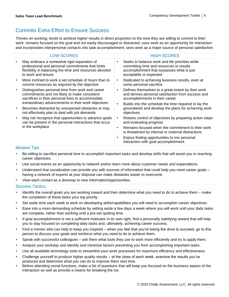### Commits Extra Effort to Ensure Success

Thrives on working; tends to achieve higher results in direct proportion to the time they are willing to commit to their work; remains focused on the goal and not easily discouraged or distracted; uses work as an opportunity for interaction and incorporates interpersonal contacts into task accomplishment; sees work as a major source of personal satisfaction

|    | <b>LOW SCORES</b>                                                                                                                                                                                             |        | <b>HIGH SCORES</b>                                                                                                                                                                                   |  |
|----|---------------------------------------------------------------------------------------------------------------------------------------------------------------------------------------------------------------|--------|------------------------------------------------------------------------------------------------------------------------------------------------------------------------------------------------------|--|
| ×  | May embrace a somewhat rigid separation of<br>professional and personal commitments that limits<br>flexibility in balancing the time and resources devoted<br>to work and leisure                             | ×      | Seeks to balance work and life priorities while<br>committing time and resources to results<br>accomplishment that surpasses what is just<br>acceptable or expected                                  |  |
| Ű, | More inclined to work a set schedule of hours than to<br>commit resources as required by the objective                                                                                                        | ×      | Dedicated to achieving business results, even at<br>some personal sacrifice                                                                                                                          |  |
| ×  | Distinguishes personal time from work and career<br>commitments and not likely to make consistent<br>sacrifices in their personal lives to accommodate<br>extraordinary advancements in their work objectives | ×<br>× | Defines themselves to a great extent by their work<br>and derives personal satisfaction from success and<br>accomplishments in their career<br>Builds into the schedule the time required to lay the |  |
| ×  | Becomes distracted by unexpected obstacles or may<br>not effectively plan to deal with job demands                                                                                                            |        | groundwork and develop the plans for achieving work<br>objectives                                                                                                                                    |  |
| ш  | May not recognize that opportunities to advance goals<br>can be present in the personal interactions that occur<br>in the workplace                                                                           | ×      | Retains control of objectives by preparing action steps<br>and evaluating progress                                                                                                                   |  |
|    |                                                                                                                                                                                                               | ш      | Remains focused when the commitment to their work<br>is threatened by internal or external distractions                                                                                              |  |
|    |                                                                                                                                                                                                               | ×      | Enjoys finding opportunities to mix personal<br>interaction with goal accomplishment                                                                                                                 |  |
|    | <b>Mindset Tips:</b>                                                                                                                                                                                          |        |                                                                                                                                                                                                      |  |

- Be willing to sacrifice personal time to accomplish important tasks and develop skills that will assist you in reaching career objectives.
- Use social events as an opportunity to network and/or learn more about customer needs and expectations.
- Understand that socialization can provide you with sources of information that could help you meet career goals having a network of experts at your disposal can make obstacles easier to overcome.
- View each contact as a doorway to new information/opportunities.

- **■** Identify the overall goals you are working toward and then determine what you need to do to achieve them make the completion of these tasks your top priority.
- **•** Set aside time each week to work on developing skills/capabilities you will need to accomplish career objectives.
- **Ease into a more demanding schedule by setting aside a few days a week where you will work until your daily tasks** are complete, rather than working until a pre-set quitting time.
- If goal accomplishment is not a sufficient motivator in its own right, find a personally satisfying reward that will help you to stay focused on completing daily tasks and, ultimately, achieving career success.
- **EXTED 4** Find a mentor who can help to keep you inspired when you feel that you're losing the drive to succeed, go to this person to discuss your goals and reinforce what you need to do to achieve them.
- **•** Speak with successful colleagues ask them what tools they use to work more efficiently and try to apply them.
- Analyze your workday and identify and minimize factors preventing you from accomplishing important tasks.
- **■** Use all available technology tools to streamline your work processes for maximum efficiency and effectiveness.
- Challenge yourself to produce higher quality results at the close of each week, examine the results you've produced and determine what you can do to improve them next time.
- **EXEL Before attending social functions, make a list of questions that will keep you focused on the business aspect of the** interaction as well as provide a means for breaking the ice.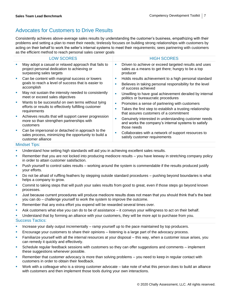### Advocates for Customers to Drive Results

Consistently achieves above-average sales results by understanding the customer's business, empathizing with their problems and setting a plan to meet their needs; tirelessly focuses on building strong relationships with customers by acting on their behalf to work the seller's internal systems to meet their requirements; sees partnering with customers as the efficient method to reach personal sales career goals

|                        | <b>LOW SCORES</b>                                                                                                               |    | <b>HIGH SCORES</b>                                                                                                                                                   |  |  |
|------------------------|---------------------------------------------------------------------------------------------------------------------------------|----|----------------------------------------------------------------------------------------------------------------------------------------------------------------------|--|--|
| ×                      | May adopt a casual or relaxed approach that fails to<br>project personal dedication to achieving or<br>surpassing sales targets | u, | Driven to achieve or exceed targeted results and uses<br>sales as a means to get there; hungry to be a top<br>producer                                               |  |  |
| ×                      | Can be content with marginal success or lowers<br>goals to reach a level of success that is easier to<br>accomplish             |    | Holds results achievement to a high personal standard<br>Believes in taking personal responsibility for the level<br>of success achieved                             |  |  |
| ×                      | May not sustain the intensity needed to consistently<br>meet or exceed sales objectives                                         |    | Unwilling to have goal achievement derailed by internal<br>politics or bureaucratic procedures                                                                       |  |  |
| ×                      | Wants to be successful on own terms without tying<br>efforts or results to effectively fulfilling customer<br>requirements      |    | Promotes a sense of partnering with customers<br>Takes the first step to establish a trusting relationship                                                           |  |  |
| ×                      | Achieves results that will support career progression<br>more so than strengthen partnerships with<br>customers                 |    | that assures customers of a commitment<br>Genuinely interested in understanding customer needs<br>and works the company's internal systems to satisfy<br>those needs |  |  |
| ×<br>customer alliance | Can be impersonal or detached in approach to the<br>sales process, minimizing the opportunity to build a                        |    | Collaborates with a network of support resources to<br>satisfy customer requirements                                                                                 |  |  |
|                        | <b>Mindset Tips:</b>                                                                                                            |    |                                                                                                                                                                      |  |  |

- Understand how setting high standards will aid you in achieving excellent sales results.
- Remember that you are not locked into producing mediocre results you have leeway in stretching company policy in order to attain customer satisfaction.
- Push yourself to control sales results working around the system is commendable if the results produced justify your efforts.
- Do not be afraid of ruffling feathers by stepping outside standard procedures pushing beyond boundaries is what helps a company to grow.
- Commit to taking steps that will push your sales results from good to great, even if those steps go beyond known processes.
- Just because current procedures will produce mediocre results does not mean that you should think that's the best you can do – challenge yourself to work the system to improve the outcome.
- **EXE** Remember that any extra effort you expend will be rewarded several times over.
- **•** Ask customers what else you can do to be of assistance it conveys your willingness to act on their behalf.

**•** Understand that by forming an alliance with your customers, they will be more apt to purchase from you. Success Tactics:

- **•** Increase your daily output incrementally ramp yourself up to the pace maintained by top producers.
- **Encourage your customers to share their opinions** listening is a large part of the advocacy process.
- **EXECT** Familiarize yourself with all the internal resources at your disposal this way, when a customer issue arises, you can remedy it quickly and effectively.
- Schedule regular feedback sessions with customers so they can offer suggestions and comments implement these suggestions whenever possible.
- Remember that customer advocacy is more than solving problems you need to keep in regular contact with customers in order to obtain their feedback.
- Work with a colleague who is a strong customer advocate take note of what this person does to build an alliance with customers and then implement those tools during your own interactions.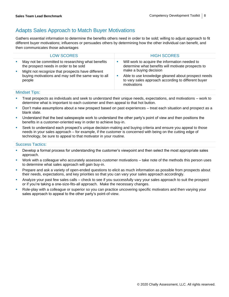### Adapts Sales Approach to Match Buyer Motivations

Gathers essential information to determine the benefits others need in order to be sold; willing to adjust approach to fit different buyer motivations; influences or persuades others by determining how the other individual can benefit, and then communicates those advantages

|        | <b>LOW SCORES</b>                                                                                                                                |    | <b>HIGH SCORES</b>                                                                                                             |
|--------|--------------------------------------------------------------------------------------------------------------------------------------------------|----|--------------------------------------------------------------------------------------------------------------------------------|
| ×<br>× | May not be committed to researching what benefits<br>the prospect needs in order to be sold<br>Might not recognize that prospects have different | M. | Will work to acquire the information needed to<br>determine what benefits will motivate prospects to<br>make a buying decision |
|        | buying motivations and may sell the same way to all<br>people                                                                                    | M. | Able to use knowledge gleaned about prospect needs<br>to vary sales approach according to different buyer<br>motivations       |

#### Mindset Tips:

- Treat prospects as individuals and seek to understand their unique needs, expectations, and motivations work to determine what is important to each customer and then appeal to that hot button.
- Don't make assumptions about a new prospect based on past experiences treat each situation and prospect as a blank slate.
- Understand that the best salespeople work to understand the other party's point of view and then positions the benefits in a customer-oriented way in order to achieve buy-in.
- Seek to understand each prospect's unique decision-making and buying criteria and ensure you appeal to those needs in your sales approach – for example, if the customer is concerned with being on the cutting edge of technology, be sure to appeal to that motivator in your routine.

- Develop a formal process for understanding the customer's viewpoint and then select the most appropriate sales approach.
- Work with a colleague who accurately assesses customer motivations take note of the methods this person uses to determine what sales approach will gain buy-in.
- Prepare and ask a variety of open-ended questions to elicit as much information as possible from prospects about their needs, expectations, and key priorities so that you can vary your sales approach accordingly.
- Analyze your past few sales calls check to see if you successfully vary your sales approach to suit the prospect or if you're taking a one-size-fits-all approach. Make the necessary changes.
- Role-play with a colleague or superior so you can practice uncovering specific motivators and then varying your sales approach to appeal to the other party's point-of-view.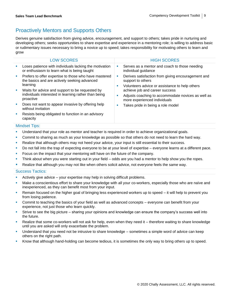### Proactively Mentors and Supports Others

Derives genuine satisfaction from giving advice, encouragement, and support to others; takes pride in nurturing and developing others; seeks opportunities to share expertise and experience in a mentoring role; is willing to address basic or rudimentary issues necessary to bring a novice up to speed; takes responsibility for motivating others to learn and grow

|                             | <b>LOW SCORES</b>                                                                                                    |               | <b>HIGH SCORES</b>                                                                                                        |
|-----------------------------|----------------------------------------------------------------------------------------------------------------------|---------------|---------------------------------------------------------------------------------------------------------------------------|
| <b>SIL</b>                  | Loses patience with individuals lacking the motivation<br>or enthusiasm to learn what is being taught                | ш             | Serves as a mentor and coach to those needing<br>individual guidance                                                      |
| $\mathcal{L}_{\mathcal{A}}$ | Prefers to offer expertise to those who have mastered<br>the basics and are actively seeking advanced<br>learning    | ×<br>a.<br>a. | Derives satisfaction from giving encouragement and<br>support to others<br>Volunteers advice or assistance to help others |
| u.                          | Waits for advice and support to be requested by<br>individuals interested in learning rather than being<br>proactive |               | achieve job and career success<br>Adjusts coaching to accommodate novices as well as<br>more experienced individuals      |
| a.                          | Does not want to appear invasive by offering help<br>without invitation                                              |               | Takes pride in being a role model                                                                                         |
|                             | Resists being obligated to function in an advisory<br>capacity                                                       |               |                                                                                                                           |

### Mindset Tips:

- **■** Understand that your role as mentor and teacher is required in order to achieve organizational goals.
- **•** Commit to sharing as much as your knowledge as possible so that others do not need to learn the hard way.
- Realize that although others may not heed your advice, your input is still essential to their success.
- **•** Do not fall into the trap of expecting everyone to be at your level of expertise everyone learns at a different pace.
- **Focus on the impact that your mentoring will have on the future of the company.**
- **•** Think about when you were starting out in your field odds are you had a mentor to help show you the ropes.
- **EXECT** Realize that although you may not like when others solicit advice, not everyone feels the same way.

- Actively give advice  $-$  your expertise may help in solving difficult problems.
- **■** Make a conscientious effort to share your knowledge with all your co-workers, especially those who are naïve and inexperienced, as they can benefit most from your input.
- Remain focused on the higher goal of bringing less experienced workers up to speed it will help to prevent you from losing patience.
- **•** Commit to teaching the basics of your field as well as advanced concepts everyone can benefit from your experience, not just those who learn quickly.
- **EXECT Strive to see the big picture sharing your opinions and knowledge can ensure the company's success well into** the future.
- Realize that some co-workers will not ask for help, even when they need it therefore waiting to share knowledge until you are asked will only exacerbate the problem.
- Understand that you need not be intrusive to share knowledge sometimes a simple word of advice can keep others on the right path.
- Know that although hand-holding can become tedious, it is sometimes the only way to bring others up to speed.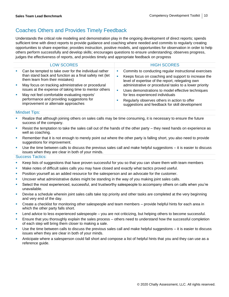### Coaches Others and Provides Timely Feedback

Understands the critical role modeling and demonstration play in the ongoing development of direct reports; spends sufficient time with direct reports to provide guidance and coaching where needed and commits to regularly creating opportunities to share expertise; provides instruction, positive models, and opportunities for observation in order to help others perform successfully and develop skills; encourages questions to ensure understanding; observes progress, judges the effectiveness of reports, and provides timely and appropriate feedback on progress

| <b>LOW SCORES</b>                                                                                                                                   |   | <b>HIGH SCORES</b>                                                                                                                                                                                                                                                                                                  |
|-----------------------------------------------------------------------------------------------------------------------------------------------------|---|---------------------------------------------------------------------------------------------------------------------------------------------------------------------------------------------------------------------------------------------------------------------------------------------------------------------|
| Can be tempted to take over for the individual rather<br>than stand back and function as a final safety net (let<br>them learn from their mistakes) | ш | Commits to conducting regular instructional exercises<br>Keeps focus on coaching and support to increase the<br>level of expertise of the report, relegating own<br>administrative or procedural tasks to a lower priority<br>Uses demonstrations to model effective techniques<br>for less experienced individuals |
| May focus on tracking administrative or procedural<br>issues at the expense of taking time to mentor others                                         |   |                                                                                                                                                                                                                                                                                                                     |
| May not feel comfortable evaluating reports'                                                                                                        |   |                                                                                                                                                                                                                                                                                                                     |
| performance and providing suggestions for<br>improvement or alternate approaches                                                                    |   | Regularly observes others in action to offer<br>suggestions and feedback for skill development                                                                                                                                                                                                                      |

#### Mindset Tips:

- **EXECT** Realize that although joining others on sales calls may be time consuming, it is necessary to ensure the future success of the company.
- Resist the temptation to take the sales call out of the hands of the other party  $-$  they need hands on experience as well as coaching.
- Remember that it is not enough to merely point out where the other party is falling short, you also need to provide suggestions for improvement.
- Use the time between calls to discuss the previous sales call and make helpful suggestions  $-$  it is easier to discuss issues when they are clear in both of your minds.

- Keep lists of suggestions that have proven successful for you so that you can share them with team members
- Make notes of difficult sales calls you may have closed and exactly what tactics proved useful.
- **Position yourself as an added resource for the salesperson and an advocate for the customer.**
- **•** Uncover what administrative duties might be standing in the way of you making joint sales calls.
- Select the most experienced, successful, and trustworthy salespeople to accompany others on calls when you're unavailable.
- Devise a schedule wherein joint sales calls take top priority and other tasks are completed at the very beginning and very end of the day.
- Create a checklist for monitoring other salespeople and team members provide helpful hints for each area in which the other party falls short.
- Lend advice to less experienced salespeople you are not criticizing, but helping others to become successful.
- Ensure that you thoroughly explain the sales process others need to understand how the successful completion of each step will bring them closer to making a sale.
- Use the time between calls to discuss the previous sales call and make helpful suggestions it is easier to discuss issues when they are clear in both of your minds.
- Anticipate where a salesperson could fall short and compose a list of helpful hints that you and they can use as a reference guide.